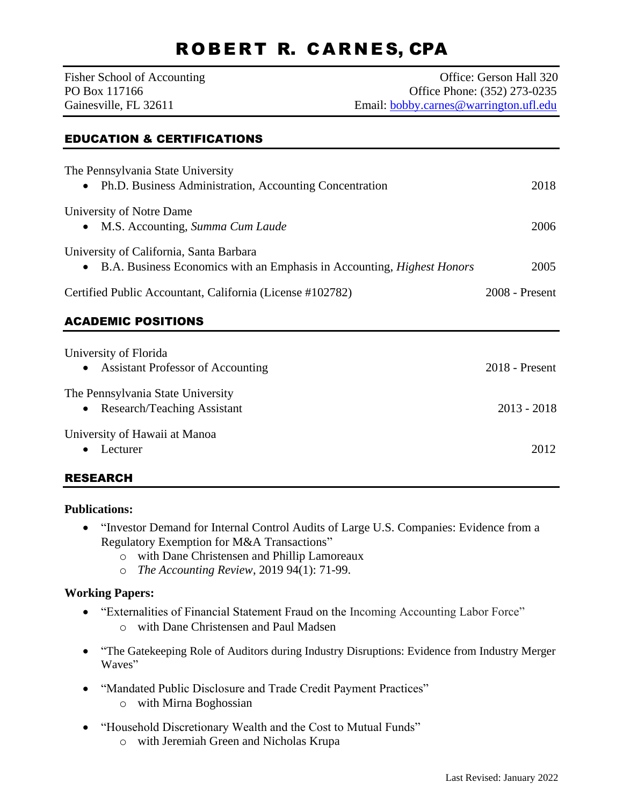# ROBERT R. CARNES, CPA

Fisher School of Accounting Office: Gerson Hall 320 PO Box 117166 **Office Phone: (352) 273-0235** Gainesville, FL 32611 Email: [bobby.carnes@warrington.ufl.edu](mailto:bobby.carnes@warrington.ufl.edu)

# EDUCATION & CERTIFICATIONS

| The Pennsylvania State University<br>Ph.D. Business Administration, Accounting Concentration<br>$\bullet$           | 2018             |
|---------------------------------------------------------------------------------------------------------------------|------------------|
| University of Notre Dame<br>• M.S. Accounting, Summa Cum Laude                                                      | 2006             |
| University of California, Santa Barbara<br>• B.A. Business Economics with an Emphasis in Accounting, Highest Honors | 2005             |
| Certified Public Accountant, California (License #102782)                                                           | 2008 - Present   |
| <b>ACADEMIC POSITIONS</b>                                                                                           |                  |
| University of Florida<br><b>Assistant Professor of Accounting</b><br>$\bullet$                                      | $2018$ - Present |
| The Pennsylvania State University<br>Research/Teaching Assistant                                                    | $2013 - 2018$    |
| University of Hawaii at Manoa<br>Lecturer                                                                           | 2012             |

## RESEARCH

#### **Publications:**

- "Investor Demand for Internal Control Audits of Large U.S. Companies: Evidence from a Regulatory Exemption for M&A Transactions"
	- o with Dane Christensen and Phillip Lamoreaux
	- o *The Accounting Review*, 2019 94(1): 71-99.

## **Working Papers:**

- "Externalities of Financial Statement Fraud on the Incoming Accounting Labor Force" o with Dane Christensen and Paul Madsen
- "The Gatekeeping Role of Auditors during Industry Disruptions: Evidence from Industry Merger Waves"
- "Mandated Public Disclosure and Trade Credit Payment Practices" o with Mirna Boghossian
- "Household Discretionary Wealth and the Cost to Mutual Funds"
	- o with Jeremiah Green and Nicholas Krupa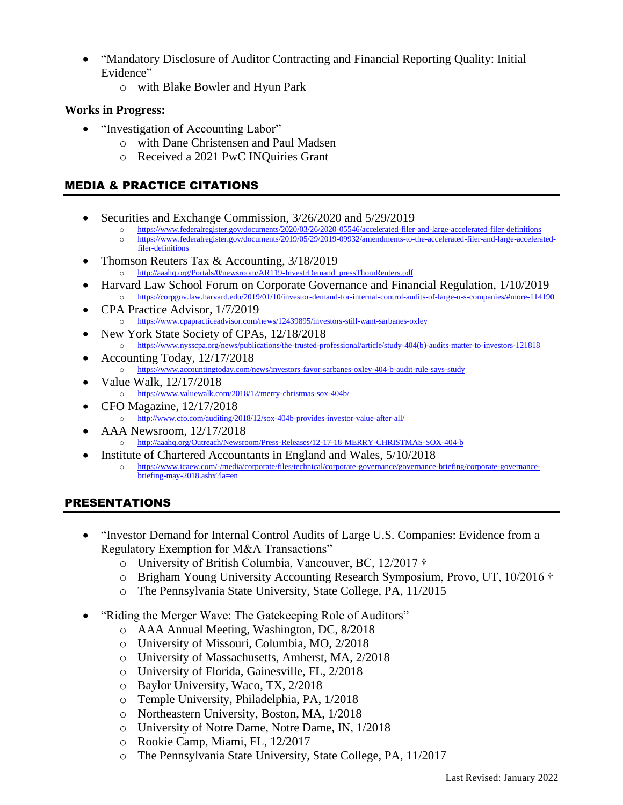- "Mandatory Disclosure of Auditor Contracting and Financial Reporting Quality: Initial Evidence"
	- o with Blake Bowler and Hyun Park

## **Works in Progress:**

- "Investigation of Accounting Labor"
	- o with Dane Christensen and Paul Madsen
	- o Received a 2021 PwC INQuiries Grant

# MEDIA & PRACTICE CITATIONS

- Securities and Exchange Commission, 3/26/2020 and 5/29/2019
	- o https://www.federalregister.gov/documents/2020/03/26/2020-05546/accelerated-filer-and-large-accelerated-filer-definitions o https://www.federalregister.gov/documents/2019/05/29/2019-09932/amendments-to-the-accelerated-filer-and-large-acceleratedfiler-definitions
- Thomson Reuters Tax & Accounting, 3/18/2019
	- o [http://aaahq.org/Portals/0/newsroom/AR119-InvestrDemand\\_pressThomReuters.pdf](http://aaahq.org/Portals/0/newsroom/AR119-InvestrDemand_pressThomReuters.pdf)
- Harvard Law School Forum on Corporate Governance and Financial Regulation, 1/10/2019 o <https://corpgov.law.harvard.edu/2019/01/10/investor-demand-for-internal-control-audits-of-large-u-s-companies/#more-114190>
- CPA Practice Advisor, 1/7/2019
	- o <https://www.cpapracticeadvisor.com/news/12439895/investors-still-want-sarbanes-oxley>
- New York State Society of CPAs, 12/18/2018
	- o [https://www.nysscpa.org/news/publications/the-trusted-professional/article/study-404\(b\)-audits-matter-to-investors-121818](https://www.nysscpa.org/news/publications/the-trusted-professional/article/study-404(b)-audits-matter-to-investors-121818)
- Accounting Today, 12/17/2018
	- o <https://www.accountingtoday.com/news/investors-favor-sarbanes-oxley-404-b-audit-rule-says-study>
- Value Walk, 12/17/2018
	- o <https://www.valuewalk.com/2018/12/merry-christmas-sox-404b/>
- CFO Magazine, 12/17/2018
	- o <http://www.cfo.com/auditing/2018/12/sox-404b-provides-investor-value-after-all/>
	- AAA Newsroom, 12/17/2018
		- o <http://aaahq.org/Outreach/Newsroom/Press-Releases/12-17-18-MERRY-CHRISTMAS-SOX-404-b>
- Institute of Chartered Accountants in England and Wales, 5/10/2018
	- o [https://www.icaew.com/-/media/corporate/files/technical/corporate-governance/governance-briefing/corporate-governance](https://www.icaew.com/-/media/corporate/files/technical/corporate-governance/governance-briefing/corporate-governance-briefing-may-2018.ashx?la=en)[briefing-may-2018.ashx?la=en](https://www.icaew.com/-/media/corporate/files/technical/corporate-governance/governance-briefing/corporate-governance-briefing-may-2018.ashx?la=en)

# PRESENTATIONS

- "Investor Demand for Internal Control Audits of Large U.S. Companies: Evidence from a Regulatory Exemption for M&A Transactions"
	- o University of British Columbia, Vancouver, BC, 12/2017 †
	- o Brigham Young University Accounting Research Symposium, Provo, UT, 10/2016 †
	- o The Pennsylvania State University, State College, PA, 11/2015
- "Riding the Merger Wave: The Gatekeeping Role of Auditors"
	- o AAA Annual Meeting, Washington, DC, 8/2018
	- o University of Missouri, Columbia, MO, 2/2018
	- o University of Massachusetts, Amherst, MA, 2/2018
	- o University of Florida, Gainesville, FL, 2/2018
	- o Baylor University, Waco, TX, 2/2018
	- o Temple University, Philadelphia, PA, 1/2018
	- o Northeastern University, Boston, MA, 1/2018
	- o University of Notre Dame, Notre Dame, IN, 1/2018
	- o Rookie Camp, Miami, FL, 12/2017
	- o The Pennsylvania State University, State College, PA, 11/2017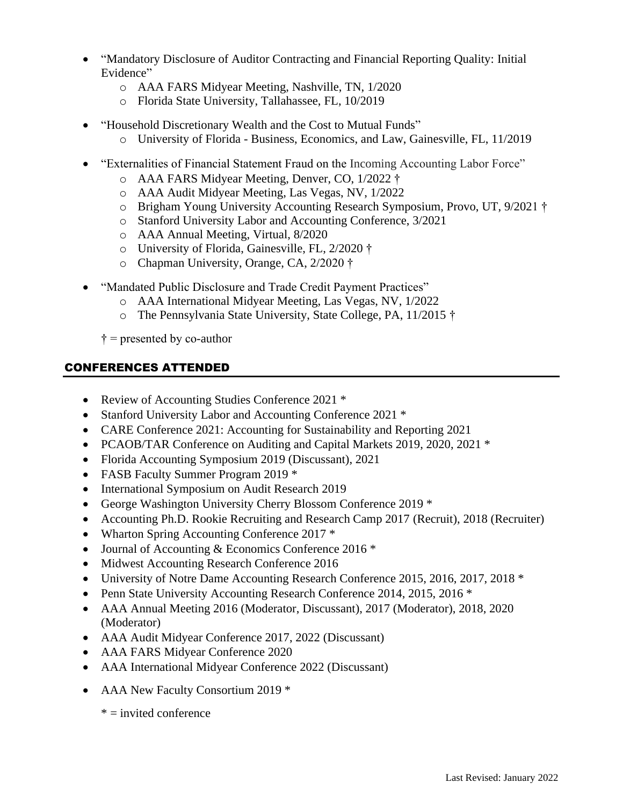- "Mandatory Disclosure of Auditor Contracting and Financial Reporting Quality: Initial Evidence"
	- o AAA FARS Midyear Meeting, Nashville, TN, 1/2020
	- o Florida State University, Tallahassee, FL, 10/2019
- "Household Discretionary Wealth and the Cost to Mutual Funds"
	- o University of Florida Business, Economics, and Law, Gainesville, FL, 11/2019
- "Externalities of Financial Statement Fraud on the Incoming Accounting Labor Force"
	- o AAA FARS Midyear Meeting, Denver, CO, 1/2022 †
	- o AAA Audit Midyear Meeting, Las Vegas, NV, 1/2022
	- o Brigham Young University Accounting Research Symposium, Provo, UT, 9/2021 †
	- o Stanford University Labor and Accounting Conference, 3/2021
	- o AAA Annual Meeting, Virtual, 8/2020
	- o University of Florida, Gainesville, FL, 2/2020 †
	- o Chapman University, Orange, CA, 2/2020 †
- "Mandated Public Disclosure and Trade Credit Payment Practices"
	- o AAA International Midyear Meeting, Las Vegas, NV, 1/2022
	- o The Pennsylvania State University, State College, PA, 11/2015 †

 $\dagger$  = presented by co-author

## CONFERENCES ATTENDED

- Review of Accounting Studies Conference 2021 \*
- Stanford University Labor and Accounting Conference 2021 \*
- CARE Conference 2021: Accounting for Sustainability and Reporting 2021
- PCAOB/TAR Conference on Auditing and Capital Markets 2019, 2020, 2021  $*$
- Florida Accounting Symposium 2019 (Discussant), 2021
- FASB Faculty Summer Program 2019 \*
- International Symposium on Audit Research 2019
- George Washington University Cherry Blossom Conference 2019 \*
- Accounting Ph.D. Rookie Recruiting and Research Camp 2017 (Recruit), 2018 (Recruiter)
- Wharton Spring Accounting Conference 2017 \*
- Journal of Accounting & Economics Conference 2016 \*
- Midwest Accounting Research Conference 2016
- University of Notre Dame Accounting Research Conference 2015, 2016, 2017, 2018  $*$
- Penn State University Accounting Research Conference 2014, 2015, 2016 \*
- AAA Annual Meeting 2016 (Moderator, Discussant), 2017 (Moderator), 2018, 2020 (Moderator)
- AAA Audit Midyear Conference 2017, 2022 (Discussant)
- AAA FARS Midyear Conference 2020
- AAA International Midyear Conference 2022 (Discussant)
- AAA New Faculty Consortium 2019 \*

 $* =$  invited conference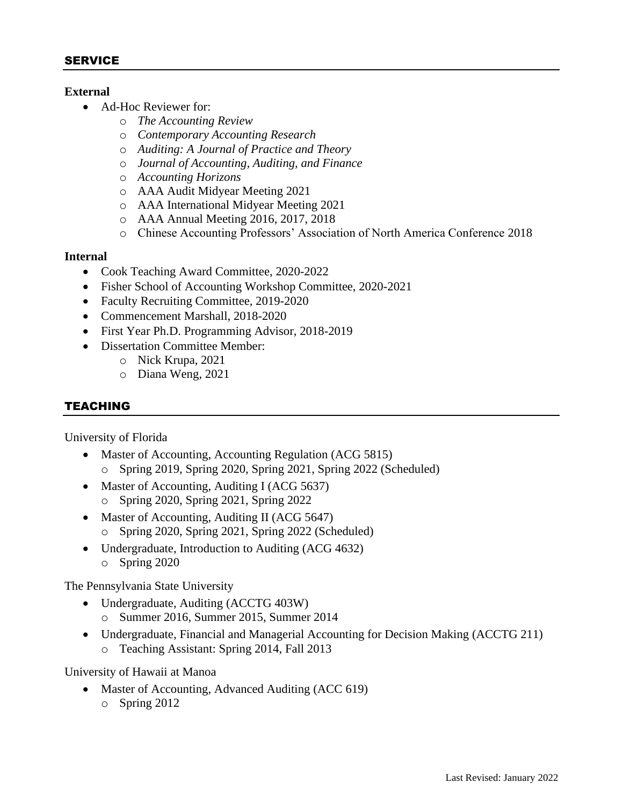## **External**

- Ad-Hoc Reviewer for:
	- o *The Accounting Review*
	- o *Contemporary Accounting Research*
	- o *Auditing: A Journal of Practice and Theory*
	- o *Journal of Accounting, Auditing, and Finance*
	- o *Accounting Horizons*
	- o AAA Audit Midyear Meeting 2021
	- o AAA International Midyear Meeting 2021
	- o AAA Annual Meeting 2016, 2017, 2018
	- o Chinese Accounting Professors' Association of North America Conference 2018

## **Internal**

- Cook Teaching Award Committee, 2020-2022
- Fisher School of Accounting Workshop Committee, 2020-2021
- Faculty Recruiting Committee, 2019-2020
- Commencement Marshall, 2018-2020
- First Year Ph.D. Programming Advisor, 2018-2019
- Dissertation Committee Member:
	- o Nick Krupa, 2021
	- o Diana Weng, 2021

# TEACHING

University of Florida

- Master of Accounting, Accounting Regulation (ACG 5815) Spring 2019, Spring 2020, Spring 2021, Spring 2022 (Scheduled)
- Master of Accounting, Auditing I (ACG 5637) o Spring 2020, Spring 2021, Spring 2022
- Master of Accounting, Auditing II (ACG 5647) o Spring 2020, Spring 2021, Spring 2022 (Scheduled)
- Undergraduate, Introduction to Auditing (ACG 4632) o Spring 2020

The Pennsylvania State University

- Undergraduate, Auditing (ACCTG 403W) o Summer 2016, Summer 2015, Summer 2014
- Undergraduate, Financial and Managerial Accounting for Decision Making (ACCTG 211) o Teaching Assistant: Spring 2014, Fall 2013

University of Hawaii at Manoa

- Master of Accounting, Advanced Auditing (ACC 619)
	- o Spring 2012